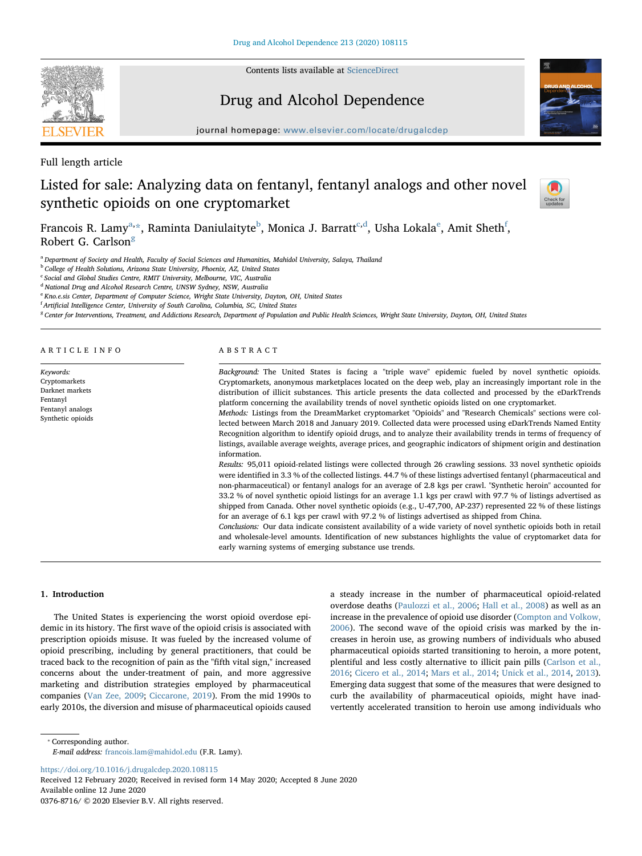

Contents lists available at [ScienceDirect](http://www.sciencedirect.com/science/journal/03768716)

## Drug and Alcohol Dependence



journal homepage: [www.elsevier.com/locate/drugalcdep](https://www.elsevier.com/locate/drugalcdep)

Full length article

# Listed for sale: Analyzing data on fentanyl, fentanyl analogs and other novel synthetic opioids on one cryptomarket



Fr[a](#page-0-0)n[c](#page-0-3)ois R. Lamy $^{\rm a, \star}$ , Raminta Daniulaityt[e](#page-0-5) $^{\rm b}$  $^{\rm b}$  $^{\rm b}$ , Monica J. Barratt $^{\rm c, d}$  $^{\rm c, d}$  $^{\rm c, d}$ , Usha Lokala $^{\rm e}$ , Amit Sheth $^{\rm f}$  $^{\rm f}$  $^{\rm f}$ , Robert G. Carlson $<sup>g</sup>$  $<sup>g</sup>$  $<sup>g</sup>$ </sup>

<span id="page-0-0"></span><sup>a</sup> Department of Society and Health, Faculty of Social Sciences and Humanities, Mahidol University, Salaya, Thailand

<span id="page-0-2"></span><sup>b</sup> College of Health Solutions, Arizona State University, Phoenix, AZ, United States

<span id="page-0-3"></span> $\rm ^c$  Social and Global Studies Centre, RMIT University, Melbourne, VIC, Australia

<span id="page-0-4"></span><sup>d</sup> National Drug and Alcohol Research Centre, UNSW Sydney, NSW, Australia

<span id="page-0-5"></span><sup>e</sup> Kno.e.sis Center, Department of Computer Science, Wright State University, Dayton, OH, United States

<span id="page-0-6"></span><sup>f</sup> Artificial Intelligence Center, University of South Carolina, Columbia, SC, United States

<span id="page-0-7"></span><sup>8</sup> Center for Interventions, Treatment, and Addictions Research, Department of Population and Public Health Sciences, Wright State University, Dayton, OH, United States

ARTICLE INFO

Keywords: Cryptomarkets Darknet markets Fentanyl Fentanyl analogs Synthetic opioids

#### ABSTRACT

Background: The United States is facing a "triple wave" epidemic fueled by novel synthetic opioids. Cryptomarkets, anonymous marketplaces located on the deep web, play an increasingly important role in the distribution of illicit substances. This article presents the data collected and processed by the eDarkTrends platform concerning the availability trends of novel synthetic opioids listed on one cryptomarket.

Methods: Listings from the DreamMarket cryptomarket "Opioids" and "Research Chemicals" sections were collected between March 2018 and January 2019. Collected data were processed using eDarkTrends Named Entity Recognition algorithm to identify opioid drugs, and to analyze their availability trends in terms of frequency of listings, available average weights, average prices, and geographic indicators of shipment origin and destination information.

Results: 95,011 opioid-related listings were collected through 26 crawling sessions. 33 novel synthetic opioids were identified in 3.3 % of the collected listings. 44.7 % of these listings advertised fentanyl (pharmaceutical and non-pharmaceutical) or fentanyl analogs for an average of 2.8 kgs per crawl. "Synthetic heroin" accounted for 33.2 % of novel synthetic opioid listings for an average 1.1 kgs per crawl with 97.7 % of listings advertised as shipped from Canada. Other novel synthetic opioids (e.g., U-47,700, AP-237) represented 22 % of these listings for an average of 6.1 kgs per crawl with 97.2 % of listings advertised as shipped from China.

Conclusions: Our data indicate consistent availability of a wide variety of novel synthetic opioids both in retail and wholesale-level amounts. Identification of new substances highlights the value of cryptomarket data for early warning systems of emerging substance use trends.

#### 1. Introduction

The United States is experiencing the worst opioid overdose epidemic in its history. The first wave of the opioid crisis is associated with prescription opioids misuse. It was fueled by the increased volume of opioid prescribing, including by general practitioners, that could be traced back to the recognition of pain as the "fifth vital sign," increased concerns about the under-treatment of pain, and more aggressive marketing and distribution strategies employed by pharmaceutical companies ([Van Zee, 2009;](#page-7-0) [Ciccarone, 2019\)](#page-7-1). From the mid 1990s to early 2010s, the diversion and misuse of pharmaceutical opioids caused a steady increase in the number of pharmaceutical opioid-related overdose deaths [\(Paulozzi et al., 2006;](#page-7-2) [Hall et al., 2008\)](#page-7-3) as well as an increase in the prevalence of opioid use disorder ([Compton and Volkow,](#page-7-4) [2006\)](#page-7-4). The second wave of the opioid crisis was marked by the increases in heroin use, as growing numbers of individuals who abused pharmaceutical opioids started transitioning to heroin, a more potent, plentiful and less costly alternative to illicit pain pills [\(Carlson et al.,](#page-7-5) [2016;](#page-7-5) [Cicero et al., 2014](#page-7-6); [Mars et al., 2014;](#page-7-7) [Unick et al., 2014,](#page-7-8) [2013](#page-7-9)). Emerging data suggest that some of the measures that were designed to curb the availability of pharmaceutical opioids, might have inadvertently accelerated transition to heroin use among individuals who

<span id="page-0-1"></span>⁎ Corresponding author.

E-mail address: [francois.lam@mahidol.edu](mailto:francois.lam@mahidol.edu) (F.R. Lamy).

<https://doi.org/10.1016/j.drugalcdep.2020.108115>

Received 12 February 2020; Received in revised form 14 May 2020; Accepted 8 June 2020 Available online 12 June 2020 0376-8716/ © 2020 Elsevier B.V. All rights reserved.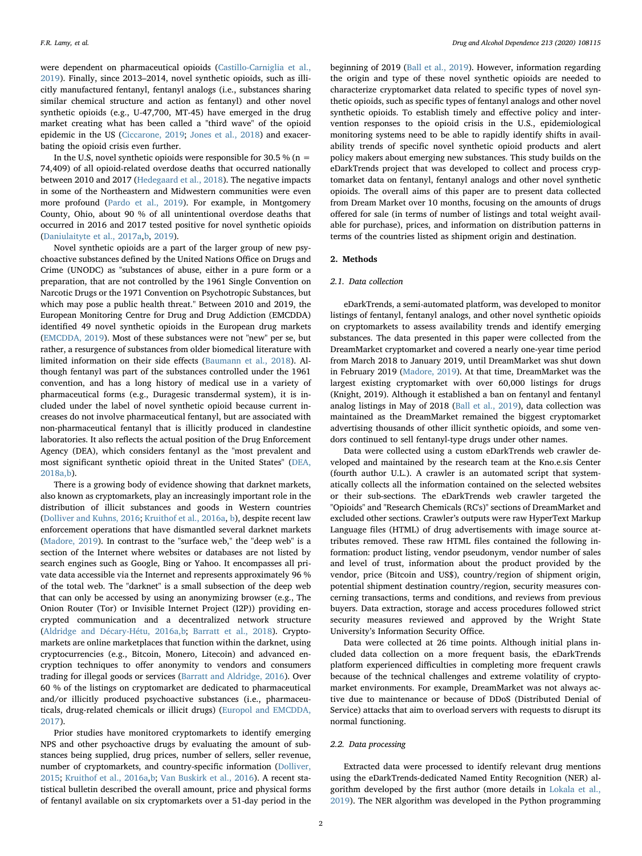were dependent on pharmaceutical opioids ([Castillo-Carniglia et al.,](#page-7-10) [2019\)](#page-7-10). Finally, since 2013–2014, novel synthetic opioids, such as illicitly manufactured fentanyl, fentanyl analogs (i.e., substances sharing similar chemical structure and action as fentanyl) and other novel synthetic opioids (e.g., U-47,700, MT-45) have emerged in the drug market creating what has been called a "third wave" of the opioid epidemic in the US [\(Ciccarone, 2019](#page-7-1); [Jones et al., 2018](#page-7-11)) and exacerbating the opioid crisis even further.

In the U.S, novel synthetic opioids were responsible for 30.5 % (n = 74,409) of all opioid-related overdose deaths that occurred nationally between 2010 and 2017 [\(Hedegaard et al., 2018\)](#page-7-12). The negative impacts in some of the Northeastern and Midwestern communities were even more profound [\(Pardo et al., 2019\)](#page-7-13). For example, in Montgomery County, Ohio, about 90 % of all unintentional overdose deaths that occurred in 2016 and 2017 tested positive for novel synthetic opioids ([Daniulaityte et al., 2017a,](#page-7-14)[b](#page-7-15), [2019](#page-7-16)).

Novel synthetic opioids are a part of the larger group of new psychoactive substances defined by the United Nations Office on Drugs and Crime (UNODC) as "substances of abuse, either in a pure form or a preparation, that are not controlled by the 1961 Single Convention on Narcotic Drugs or the 1971 Convention on Psychotropic Substances, but which may pose a public health threat." Between 2010 and 2019, the European Monitoring Centre for Drug and Drug Addiction (EMCDDA) identified 49 novel synthetic opioids in the European drug markets ([EMCDDA, 2019](#page-7-17)). Most of these substances were not "new" per se, but rather, a resurgence of substances from older biomedical literature with limited information on their side effects ([Baumann et al., 2018\)](#page-7-18). Although fentanyl was part of the substances controlled under the 1961 convention, and has a long history of medical use in a variety of pharmaceutical forms (e.g., Duragesic transdermal system), it is included under the label of novel synthetic opioid because current increases do not involve pharmaceutical fentanyl, but are associated with non-pharmaceutical fentanyl that is illicitly produced in clandestine laboratories. It also reflects the actual position of the Drug Enforcement Agency (DEA), which considers fentanyl as the "most prevalent and most significant synthetic opioid threat in the United States" ([DEA,](#page-7-19) [2018a,b](#page-7-19)).

There is a growing body of evidence showing that darknet markets, also known as cryptomarkets, play an increasingly important role in the distribution of illicit substances and goods in Western countries ([Dolliver and Kuhns, 2016](#page-7-20); [Kruithof et al., 2016a](#page-7-21), [b\)](#page-7-22), despite recent law enforcement operations that have dismantled several darknet markets ([Madore, 2019\)](#page-7-23). In contrast to the "surface web," the "deep web" is a section of the Internet where websites or databases are not listed by search engines such as Google, Bing or Yahoo. It encompasses all private data accessible via the Internet and represents approximately 96 % of the total web. The "darknet" is a small subsection of the deep web that can only be accessed by using an anonymizing browser (e.g., The Onion Router (Tor) or Invisible Internet Project (I2P)) providing encrypted communication and a decentralized network structure ([Aldridge and Décary-Hétu, 2016a,b](#page-7-24); [Barratt et al., 2018\)](#page-7-25). Cryptomarkets are online marketplaces that function within the darknet, using cryptocurrencies (e.g., Bitcoin, Monero, Litecoin) and advanced encryption techniques to offer anonymity to vendors and consumers trading for illegal goods or services [\(Barratt and Aldridge, 2016\)](#page-7-26). Over 60 % of the listings on cryptomarket are dedicated to pharmaceutical and/or illicitly produced psychoactive substances (i.e., pharmaceuticals, drug-related chemicals or illicit drugs) [\(Europol and EMCDDA,](#page-7-27) [2017\)](#page-7-27).

Prior studies have monitored cryptomarkets to identify emerging NPS and other psychoactive drugs by evaluating the amount of substances being supplied, drug prices, number of sellers, seller revenue, number of cryptomarkets, and country-specific information [\(Dolliver,](#page-7-28) [2015;](#page-7-28) [Kruithof et al., 2016a](#page-7-21),[b](#page-7-22); [Van Buskirk et al., 2016\)](#page-7-29). A recent statistical bulletin described the overall amount, price and physical forms of fentanyl available on six cryptomarkets over a 51-day period in the

beginning of 2019 ([Ball et al., 2019\)](#page-7-30). However, information regarding the origin and type of these novel synthetic opioids are needed to characterize cryptomarket data related to specific types of novel synthetic opioids, such as specific types of fentanyl analogs and other novel synthetic opioids. To establish timely and effective policy and intervention responses to the opioid crisis in the U.S., epidemiological monitoring systems need to be able to rapidly identify shifts in availability trends of specific novel synthetic opioid products and alert policy makers about emerging new substances. This study builds on the eDarkTrends project that was developed to collect and process cryptomarket data on fentanyl, fentanyl analogs and other novel synthetic opioids. The overall aims of this paper are to present data collected from Dream Market over 10 months, focusing on the amounts of drugs offered for sale (in terms of number of listings and total weight available for purchase), prices, and information on distribution patterns in terms of the countries listed as shipment origin and destination.

## 2. Methods

#### 2.1. Data collection

eDarkTrends, a semi-automated platform, was developed to monitor listings of fentanyl, fentanyl analogs, and other novel synthetic opioids on cryptomarkets to assess availability trends and identify emerging substances. The data presented in this paper were collected from the DreamMarket cryptomarket and covered a nearly one-year time period from March 2018 to January 2019, until DreamMarket was shut down in February 2019 ([Madore, 2019\)](#page-7-23). At that time, DreamMarket was the largest existing cryptomarket with over 60,000 listings for drugs (Knight, 2019). Although it established a ban on fentanyl and fentanyl analog listings in May of 2018 ([Ball et al., 2019](#page-7-30)), data collection was maintained as the DreamMarket remained the biggest cryptomarket advertising thousands of other illicit synthetic opioids, and some vendors continued to sell fentanyl-type drugs under other names.

Data were collected using a custom eDarkTrends web crawler developed and maintained by the research team at the Kno.e.sis Center (fourth author U.L.). A crawler is an automated script that systematically collects all the information contained on the selected websites or their sub-sections. The eDarkTrends web crawler targeted the "Opioids" and "Research Chemicals (RC's)" sections of DreamMarket and excluded other sections. Crawler's outputs were raw HyperText Markup Language files (HTML) of drug advertisements with image source attributes removed. These raw HTML files contained the following information: product listing, vendor pseudonym, vendor number of sales and level of trust, information about the product provided by the vendor, price (Bitcoin and US\$), country/region of shipment origin, potential shipment destination country/region, security measures concerning transactions, terms and conditions, and reviews from previous buyers. Data extraction, storage and access procedures followed strict security measures reviewed and approved by the Wright State University's Information Security Office.

Data were collected at 26 time points. Although initial plans included data collection on a more frequent basis, the eDarkTrends platform experienced difficulties in completing more frequent crawls because of the technical challenges and extreme volatility of cryptomarket environments. For example, DreamMarket was not always active due to maintenance or because of DDoS (Distributed Denial of Service) attacks that aim to overload servers with requests to disrupt its normal functioning.

#### 2.2. Data processing

Extracted data were processed to identify relevant drug mentions using the eDarkTrends-dedicated Named Entity Recognition (NER) algorithm developed by the first author (more details in [Lokala et al.,](#page-7-31) [2019\)](#page-7-31). The NER algorithm was developed in the Python programming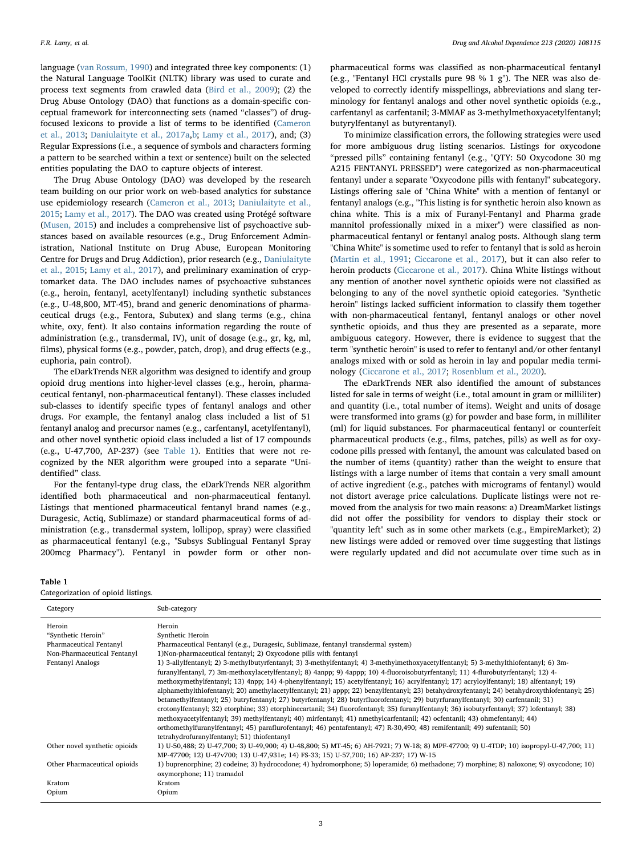language [\(van Rossum, 1990\)](#page-7-32) and integrated three key components: (1) the Natural Language ToolKit (NLTK) library was used to curate and process text segments from crawled data ([Bird et al., 2009\)](#page-7-33); (2) the Drug Abuse Ontology (DAO) that functions as a domain-specific conceptual framework for interconnecting sets (named "classes") of drugfocused lexicons to provide a list of terms to be identified ([Cameron](#page-7-34) [et al., 2013](#page-7-34); [Daniulaityte et al., 2017a](#page-7-14)[,b;](#page-7-15) [Lamy et al., 2017\)](#page-7-35), and; (3) Regular Expressions (i.e., a sequence of symbols and characters forming a pattern to be searched within a text or sentence) built on the selected entities populating the DAO to capture objects of interest.

The Drug Abuse Ontology (DAO) was developed by the research team building on our prior work on web-based analytics for substance use epidemiology research [\(Cameron et al., 2013;](#page-7-34) [Daniulaityte et al.,](#page-7-36) [2015;](#page-7-36) [Lamy et al., 2017\)](#page-7-35). The DAO was created using Protégé software ([Musen, 2015\)](#page-7-37) and includes a comprehensive list of psychoactive substances based on available resources (e.g., Drug Enforcement Administration, National Institute on Drug Abuse, European Monitoring Centre for Drugs and Drug Addiction), prior research (e.g., [Daniulaityte](#page-7-36) [et al., 2015;](#page-7-36) [Lamy et al., 2017](#page-7-35)), and preliminary examination of cryptomarket data. The DAO includes names of psychoactive substances (e.g., heroin, fentanyl, acetylfentanyl) including synthetic substances (e.g., U-48,800, MT-45), brand and generic denominations of pharmaceutical drugs (e.g., Fentora, Subutex) and slang terms (e.g., china white, oxy, fent). It also contains information regarding the route of administration (e.g., transdermal, IV), unit of dosage (e.g., gr, kg, ml, films), physical forms (e.g., powder, patch, drop), and drug effects (e.g., euphoria, pain control).

The eDarkTrends NER algorithm was designed to identify and group opioid drug mentions into higher-level classes (e.g., heroin, pharmaceutical fentanyl, non-pharmaceutical fentanyl). These classes included sub-classes to identify specific types of fentanyl analogs and other drugs. For example, the fentanyl analog class included a list of 51 fentanyl analog and precursor names (e.g., carfentanyl, acetylfentanyl), and other novel synthetic opioid class included a list of 17 compounds (e.g., U-47,700, AP-237) (see [Table 1](#page-2-0)). Entities that were not recognized by the NER algorithm were grouped into a separate "Unidentified" class.

For the fentanyl-type drug class, the eDarkTrends NER algorithm identified both pharmaceutical and non-pharmaceutical fentanyl. Listings that mentioned pharmaceutical fentanyl brand names (e.g., Duragesic, Actiq, Sublimaze) or standard pharmaceutical forms of administration (e.g., transdermal system, lollipop, spray) were classified as pharmaceutical fentanyl (e.g., "Subsys Sublingual Fentanyl Spray 200mcg Pharmacy"). Fentanyl in powder form or other non-

#### <span id="page-2-0"></span>Table 1

Categorization of opioid listings.

pharmaceutical forms was classified as non-pharmaceutical fentanyl (e.g., "Fentanyl HCl crystalls pure 98 % 1 g"). The NER was also developed to correctly identify misspellings, abbreviations and slang terminology for fentanyl analogs and other novel synthetic opioids (e.g., carfentanyl as carfentanil; 3-MMAF as 3-methylmethoxyacetylfentanyl; butyrylfentanyl as butyrentanyl).

To minimize classification errors, the following strategies were used for more ambiguous drug listing scenarios. Listings for oxycodone "pressed pills" containing fentanyl (e.g., "QTY: 50 Oxycodone 30 mg A215 FENTANYL PRESSED") were categorized as non-pharmaceutical fentanyl under a separate "Oxycodone pills with fentanyl" subcategory. Listings offering sale of "China White" with a mention of fentanyl or fentanyl analogs (e.g., "This listing is for synthetic heroin also known as china white. This is a mix of Furanyl-Fentanyl and Pharma grade mannitol professionally mixed in a mixer") were classified as nonpharmaceutical fentanyl or fentanyl analog posts. Although slang term "China White" is sometime used to refer to fentanyl that is sold as heroin ([Martin et al., 1991](#page-7-38); [Ciccarone et al., 2017](#page-7-39)), but it can also refer to heroin products ([Ciccarone et al., 2017](#page-7-39)). China White listings without any mention of another novel synthetic opioids were not classified as belonging to any of the novel synthetic opioid categories. "Synthetic heroin" listings lacked sufficient information to classify them together with non-pharmaceutical fentanyl, fentanyl analogs or other novel synthetic opioids, and thus they are presented as a separate, more ambiguous category. However, there is evidence to suggest that the term "synthetic heroin" is used to refer to fentanyl and/or other fentanyl analogs mixed with or sold as heroin in lay and popular media terminology [\(Ciccarone et al., 2017](#page-7-39); [Rosenblum et al., 2020\)](#page-7-40).

The eDarkTrends NER also identified the amount of substances listed for sale in terms of weight (i.e., total amount in gram or milliliter) and quantity (i.e., total number of items). Weight and units of dosage were transformed into grams (g) for powder and base form, in milliliter (ml) for liquid substances. For pharmaceutical fentanyl or counterfeit pharmaceutical products (e.g., films, patches, pills) as well as for oxycodone pills pressed with fentanyl, the amount was calculated based on the number of items (quantity) rather than the weight to ensure that listings with a large number of items that contain a very small amount of active ingredient (e.g., patches with micrograms of fentanyl) would not distort average price calculations. Duplicate listings were not removed from the analysis for two main reasons: a) DreamMarket listings did not offer the possibility for vendors to display their stock or "quantity left" such as in some other markets (e.g., EmpireMarket); 2) new listings were added or removed over time suggesting that listings were regularly updated and did not accumulate over time such as in

| Category                      | Sub-category                                                                                                                                                                                                                                                                                                                                                                                                                                                                                                                                                                                                                                                                                                                                                                                                                                                                                                                                                                                                                                                                                                                                                    |
|-------------------------------|-----------------------------------------------------------------------------------------------------------------------------------------------------------------------------------------------------------------------------------------------------------------------------------------------------------------------------------------------------------------------------------------------------------------------------------------------------------------------------------------------------------------------------------------------------------------------------------------------------------------------------------------------------------------------------------------------------------------------------------------------------------------------------------------------------------------------------------------------------------------------------------------------------------------------------------------------------------------------------------------------------------------------------------------------------------------------------------------------------------------------------------------------------------------|
| Heroin                        | Heroin                                                                                                                                                                                                                                                                                                                                                                                                                                                                                                                                                                                                                                                                                                                                                                                                                                                                                                                                                                                                                                                                                                                                                          |
| "Synthetic Heroin"            | Synthetic Heroin                                                                                                                                                                                                                                                                                                                                                                                                                                                                                                                                                                                                                                                                                                                                                                                                                                                                                                                                                                                                                                                                                                                                                |
| Pharmaceutical Fentanyl       | Pharmaceutical Fentanyl (e.g., Duragesic, Sublimaze, fentanyl transdermal system)                                                                                                                                                                                                                                                                                                                                                                                                                                                                                                                                                                                                                                                                                                                                                                                                                                                                                                                                                                                                                                                                               |
| Non-Pharmaceutical Fentanyl   | 1) Non-pharmaceutical fentanyl; 2) Oxycodone pills with fentanyl                                                                                                                                                                                                                                                                                                                                                                                                                                                                                                                                                                                                                                                                                                                                                                                                                                                                                                                                                                                                                                                                                                |
| Fentanyl Analogs              | 1) 3-allylfentanyl; 2) 3-methylbutyrfentanyl; 3) 3-methylfentanyl; 4) 3-methylmethoxyacetylfentanyl; 5) 3-methylthiofentanyl; 6) 3m-<br>furanylfentanyl, 7) 3m-methoxylacetylfentanyl; 8) 4anpp; 9) 4appp; 10) 4-fluoroisobutyrfentanyl; 11) 4-flurobutyrfentanyl; 12) 4-<br>methoxymethylfentanyl; 13) 4npp; 14) 4-phenylfentanyl; 15) acetylfentanyl; 16) acrylfentanyl; 17) acryloylfentanyl; 18) alfentanyl; 19)<br>alphamethylthiofentanyl; 20) amethylacetylfentanyl; 21) appp; 22) benzylfentanyl; 23) betahydroxyfentanyl; 24) betahydroxythiofentanyl; 25)<br>betamethylfentanyl; 25) butryfentanyl; 27) butyrfentanyl; 28) butyrfluorofentanyl; 29) butyrfuranylfentanyl; 30) carfentanil; 31)<br>crotonylfentanyl; 32) etorphine; 33) etorphinecartanil; 34) fluorofentanyl; 35) furanylfentanyl; 36) isobutyrfentanyl; 37) lofentanyl; 38)<br>methoxyacetylfentanyl; 39) methylfentanyl; 40) mirfentanyl; 41) nmethylcarfentanil; 42) ocfentanil; 43) ohmefentanyl; 44)<br>orthomethylfuranylfentanyl; 45) paraflurofentanyl; 46) pentafentanyl; 47) R-30,490; 48) remifentanil; 49) sufentanil; 50)<br>tetrahydrofuranylfentanyl; 51) thiofentanyl |
| Other novel synthetic opioids | 1) U-50,488; 2) U-47,700; 3) U-49,900; 4) U-48,800; 5) MT-45; 6) AH-7921; 7) W-18; 8) MPF-47700; 9) U-4TDP; 10) isopropyl-U-47,700; 11)<br>MP-47700; 12) U-47v700; 13) U-47,931e; 14) FS-33; 15) U-57,700; 16) AP-237; 17) W-15                                                                                                                                                                                                                                                                                                                                                                                                                                                                                                                                                                                                                                                                                                                                                                                                                                                                                                                                 |
| Other Pharmaceutical opioids  | 1) buprenorphine; 2) codeine; 3) hydrocodone; 4) hydromorphone; 5) loperamide; 6) methadone; 7) morphine; 8) naloxone; 9) oxycodone; 10)<br>oxymorphone; 11) tramadol                                                                                                                                                                                                                                                                                                                                                                                                                                                                                                                                                                                                                                                                                                                                                                                                                                                                                                                                                                                           |
| Kratom                        | Kratom                                                                                                                                                                                                                                                                                                                                                                                                                                                                                                                                                                                                                                                                                                                                                                                                                                                                                                                                                                                                                                                                                                                                                          |
| Opium                         | Opium                                                                                                                                                                                                                                                                                                                                                                                                                                                                                                                                                                                                                                                                                                                                                                                                                                                                                                                                                                                                                                                                                                                                                           |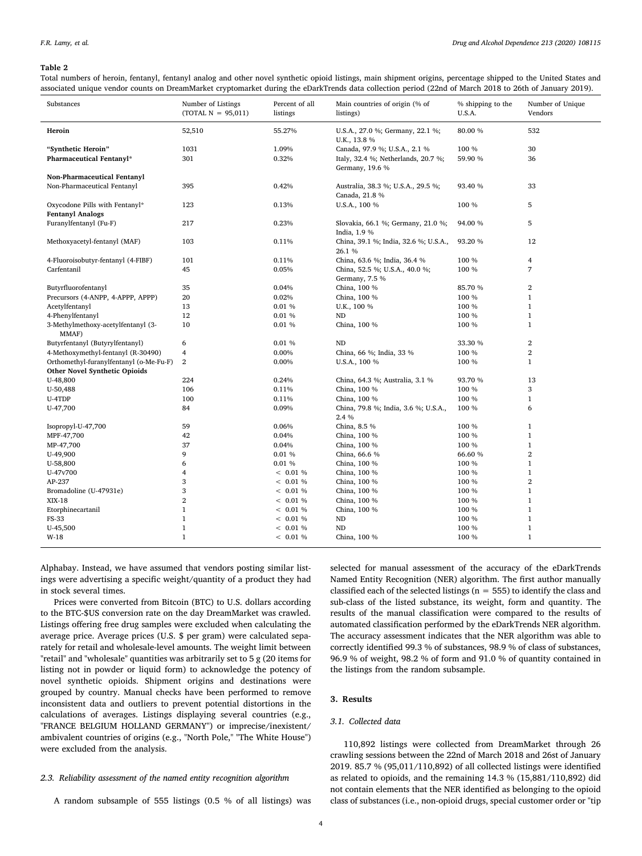#### <span id="page-3-0"></span>Table 2

Total numbers of heroin, fentanyl, fentanyl analog and other novel synthetic opioid listings, main shipment origins, percentage shipped to the United States and associated unique vendor counts on DreamMarket cryptomarket during the eDarkTrends data collection period (22nd of March 2018 to 26th of January 2019).

| Substances                                                | Number of Listings<br>$(TOTAL N = 95,011)$ | Percent of all<br>listings | Main countries of origin (% of<br>listings)            | % shipping to the<br>U.S.A. | Number of Unique<br>Vendors |
|-----------------------------------------------------------|--------------------------------------------|----------------------------|--------------------------------------------------------|-----------------------------|-----------------------------|
| Heroin                                                    | 52,510                                     | 55.27%                     | U.S.A., 27.0 %; Germany, 22.1 %;<br>U.K., 13.8 %       | 80.00 %                     | 532                         |
| "Synthetic Heroin"                                        | 1031                                       | 1.09%                      | Canada, 97.9 %; U.S.A., 2.1 %                          | 100 %                       | 30                          |
| Pharmaceutical Fentanyl*                                  | 301                                        | 0.32%                      | Italy, 32.4 %; Netherlands, 20.7 %;<br>Germany, 19.6 % | 59.90 %                     | 36                          |
| Non-Pharmaceutical Fentanyl                               |                                            |                            |                                                        |                             |                             |
| Non-Pharmaceutical Fentanyl                               | 395                                        | 0.42%                      | Australia, 38.3 %; U.S.A., 29.5 %;<br>Canada, 21.8 %   | 93.40 %                     | 33                          |
| Oxycodone Pills with Fentanyl*<br><b>Fentanyl Analogs</b> | 123                                        | 0.13%                      | U.S.A., 100 %                                          | 100 %                       | 5                           |
| Furanylfentanyl (Fu-F)                                    | 217                                        | 0.23%                      | Slovakia, 66.1 %; Germany, 21.0 %;<br>India, 1.9 %     | 94.00 %                     | 5                           |
| Methoxyacetyl-fentanyl (MAF)                              | 103                                        | 0.11%                      | China, 39.1 %; India, 32.6 %; U.S.A.,<br>26.1%         | 93.20 %                     | 12                          |
| 4-Fluoroisobutyr-fentanyl (4-FIBF)                        | 101                                        | 0.11%                      | China, 63.6 %; India, 36.4 %                           | 100 %                       | $\overline{4}$              |
| Carfentanil                                               | 45                                         | 0.05%                      | China, 52.5 %; U.S.A., 40.0 %;<br>Germany, 7.5 %       | 100 %                       | $\overline{7}$              |
| Butyrfluorofentanyl                                       | 35                                         | 0.04%                      | China, 100 %                                           | 85.70 %                     | $\overline{2}$              |
| Precursors (4-ANPP, 4-APPP, APPP)                         | 20                                         | 0.02%                      | China, 100 %                                           | 100 %                       | $\mathbf{1}$                |
| Acetylfentanyl                                            | 13                                         | 0.01%                      | U.K., 100 %                                            | 100 %                       | $\mathbf{1}$                |
| 4-Phenylfentanyl                                          | 12                                         | 0.01%                      | ND                                                     | 100 %                       | $\mathbf{1}$                |
| 3-Methylmethoxy-acetylfentanyl (3-<br>MMAF)               | 10                                         | 0.01 %                     | China, 100 %                                           | 100 %                       | $\mathbf{1}$                |
| Butyrfentanyl (Butyrylfentanyl)                           | 6                                          | 0.01%                      | <b>ND</b>                                              | 33.30 %                     | $\overline{2}$              |
| 4-Methoxymethyl-fentanyl (R-30490)                        | 4                                          | 0.00%                      | China, 66 %; India, 33 %                               | 100 %                       | $\overline{2}$              |
| Orthomethyl-furanylfentanyl (o-Me-Fu-F)                   | 2                                          | 0.00%                      | U.S.A., 100 %                                          | 100 %                       | $\mathbf{1}$                |
| Other Novel Synthetic Opioids                             |                                            |                            |                                                        |                             |                             |
| U-48,800                                                  | 224                                        | 0.24%                      | China, 64.3 %; Australia, 3.1 %                        | 93.70 %                     | 13                          |
| U-50,488                                                  | 106                                        | 0.11%                      | China, 100 %                                           | 100 %                       | 3                           |
| U-4TDP                                                    | 100                                        | 0.11%                      | China, 100 %                                           | 100 %                       | $\mathbf{1}$                |
| U-47,700                                                  | 84                                         | 0.09%                      | China, 79.8 %; India, 3.6 %; U.S.A.,<br>2.4 %          | 100 %                       | 6                           |
| Isopropyl-U-47,700                                        | 59                                         | 0.06%                      | China, 8.5 %                                           | 100 %                       | $\mathbf{1}$                |
| MPF-47,700                                                | 42                                         | 0.04%                      | China, 100 %                                           | 100 %                       | $\mathbf{1}$                |
| MP-47,700                                                 | 37                                         | 0.04%                      | China, 100 %                                           | 100 %                       | $\mathbf{1}$                |
| U-49,900                                                  | 9                                          | 0.01 %                     | China, 66.6 %                                          | 66.60 %                     | $\overline{2}$              |
| U-58,800                                                  | 6                                          | 0.01%                      | China, 100 %                                           | 100 %                       | $\mathbf{1}$                |
| U-47v700                                                  | 4                                          | < 0.01 %                   | China, 100 %                                           | 100 %                       | $\mathbf{1}$                |
| AP-237                                                    | 3                                          | < 0.01 %                   | China, 100 %                                           | 100 %                       | $\overline{2}$              |
| Bromadoline (U-47931e)                                    | 3                                          | < 0.01 %                   | China, 100 %                                           | 100 %                       | $\mathbf{1}$                |
| XIX-18                                                    | $\overline{2}$                             | < 0.01 %                   | China, 100 %                                           | 100 %                       | $\mathbf{1}$                |
| Etorphinecartanil                                         | $\mathbf{1}$                               | < 0.01 %                   | China, 100 %                                           | 100 %                       | $\mathbf{1}$                |
| FS-33                                                     | $\mathbf{1}$                               | < 0.01 %                   | ND                                                     | 100 %                       | $\mathbf{1}$                |
| U-45,500                                                  | $\mathbf{1}$                               | < 0.01 %                   | ND                                                     | 100 %                       | $\mathbf{1}$                |
| W-18                                                      | $\mathbf{1}$                               | < 0.01 %                   | China, 100 %                                           | 100 %                       | $\mathbf{1}$                |

Alphabay. Instead, we have assumed that vendors posting similar listings were advertising a specific weight/quantity of a product they had in stock several times.

Prices were converted from Bitcoin (BTC) to U.S. dollars according to the BTC-\$US conversion rate on the day DreamMarket was crawled. Listings offering free drug samples were excluded when calculating the average price. Average prices (U.S. \$ per gram) were calculated separately for retail and wholesale-level amounts. The weight limit between "retail" and "wholesale" quantities was arbitrarily set to 5 g (20 items for listing not in powder or liquid form) to acknowledge the potency of novel synthetic opioids. Shipment origins and destinations were grouped by country. Manual checks have been performed to remove inconsistent data and outliers to prevent potential distortions in the calculations of averages. Listings displaying several countries (e.g., "FRANCE BELGIUM HOLLAND GERMANY") or imprecise/inexistent/ ambivalent countries of origins (e.g., "North Pole," "The White House") were excluded from the analysis.

#### 2.3. Reliability assessment of the named entity recognition algorithm

A random subsample of 555 listings (0.5 % of all listings) was

selected for manual assessment of the accuracy of the eDarkTrends Named Entity Recognition (NER) algorithm. The first author manually classified each of the selected listings ( $n = 555$ ) to identify the class and sub-class of the listed substance, its weight, form and quantity. The results of the manual classification were compared to the results of automated classification performed by the eDarkTrends NER algorithm. The accuracy assessment indicates that the NER algorithm was able to correctly identified 99.3 % of substances, 98.9 % of class of substances, 96.9 % of weight, 98.2 % of form and 91.0 % of quantity contained in the listings from the random subsample.

## 3. Results

## 3.1. Collected data

110,892 listings were collected from DreamMarket through 26 crawling sessions between the 22nd of March 2018 and 26st of January 2019. 85.7 % (95,011/110,892) of all collected listings were identified as related to opioids, and the remaining 14.3 % (15,881/110,892) did not contain elements that the NER identified as belonging to the opioid class of substances (i.e., non-opioid drugs, special customer order or "tip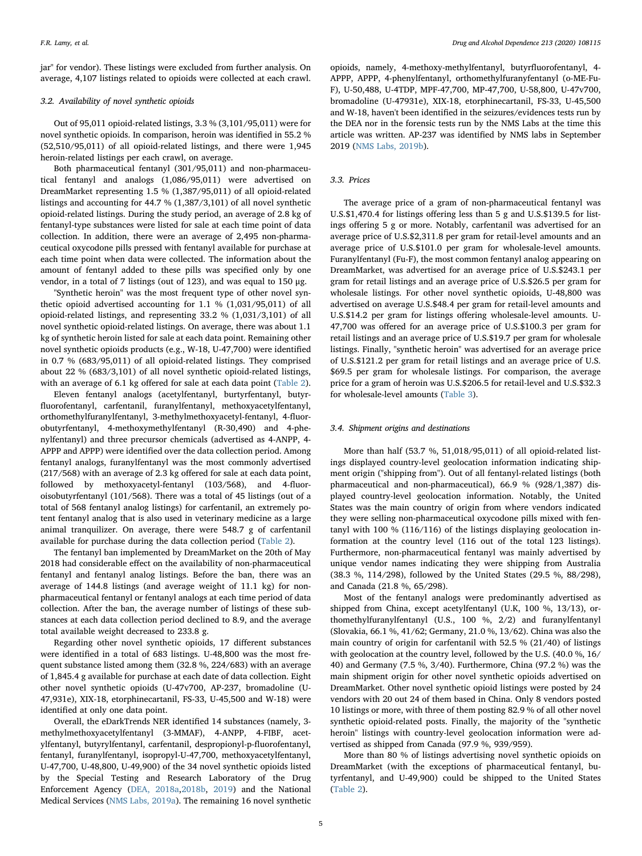jar" for vendor). These listings were excluded from further analysis. On average, 4,107 listings related to opioids were collected at each crawl.

## 3.2. Availability of novel synthetic opioids

Out of 95,011 opioid-related listings, 3.3 % (3,101/95,011) were for novel synthetic opioids. In comparison, heroin was identified in 55.2 % (52,510/95,011) of all opioid-related listings, and there were 1,945 heroin-related listings per each crawl, on average.

Both pharmaceutical fentanyl (301/95,011) and non-pharmaceutical fentanyl and analogs (1,086/95,011) were advertised on DreamMarket representing 1.5 % (1,387/95,011) of all opioid-related listings and accounting for 44.7 % (1,387/3,101) of all novel synthetic opioid-related listings. During the study period, an average of 2.8 kg of fentanyl-type substances were listed for sale at each time point of data collection. In addition, there were an average of 2,495 non-pharmaceutical oxycodone pills pressed with fentanyl available for purchase at each time point when data were collected. The information about the amount of fentanyl added to these pills was specified only by one vendor, in a total of 7 listings (out of 123), and was equal to 150 μg.

"Synthetic heroin" was the most frequent type of other novel synthetic opioid advertised accounting for 1.1 % (1,031/95,011) of all opioid-related listings, and representing 33.2 % (1,031/3,101) of all novel synthetic opioid-related listings. On average, there was about 1.1 kg of synthetic heroin listed for sale at each data point. Remaining other novel synthetic opioids products (e.g., W-18, U-47,700) were identified in 0.7 % (683/95,011) of all opioid-related listings. They comprised about 22 % (683/3,101) of all novel synthetic opioid-related listings, with an average of 6.1 kg offered for sale at each data point ([Table 2](#page-3-0)).

Eleven fentanyl analogs (acetylfentanyl, burtyrfentanyl, butyrfluorofentanyl, carfentanil, furanylfentanyl, methoxyacetylfentanyl, orthomethylfuranylfentanyl, 3-methylmethoxyacetyl-fentanyl, 4-fluorobutyrfentanyl, 4-methoxymethylfentanyl (R-30,490) and 4-phenylfentanyl) and three precursor chemicals (advertised as 4-ANPP, 4- APPP and APPP) were identified over the data collection period. Among fentanyl analogs, furanylfentanyl was the most commonly advertised (217/568) with an average of 2.3 kg offered for sale at each data point, followed by methoxyacetyl-fentanyl (103/568), and 4-fluoroisobutyrfentanyl (101/568). There was a total of 45 listings (out of a total of 568 fentanyl analog listings) for carfentanil, an extremely potent fentanyl analog that is also used in veterinary medicine as a large animal tranquilizer. On average, there were 548.7 g of carfentanil available for purchase during the data collection period [\(Table 2\)](#page-3-0).

The fentanyl ban implemented by DreamMarket on the 20th of May 2018 had considerable effect on the availability of non-pharmaceutical fentanyl and fentanyl analog listings. Before the ban, there was an average of 144.8 listings (and average weight of 11.1 kg) for nonpharmaceutical fentanyl or fentanyl analogs at each time period of data collection. After the ban, the average number of listings of these substances at each data collection period declined to 8.9, and the average total available weight decreased to 233.8 g.

Regarding other novel synthetic opioids, 17 different substances were identified in a total of 683 listings. U-48,800 was the most frequent substance listed among them (32.8 %, 224/683) with an average of 1,845.4 g available for purchase at each date of data collection. Eight other novel synthetic opioids (U-47v700, AP-237, bromadoline (U-47,931e), XIX-18, etorphinecartanil, FS-33, U-45,500 and W-18) were identified at only one data point.

Overall, the eDarkTrends NER identified 14 substances (namely, 3 methylmethoxyacetylfentanyl (3-MMAF), 4-ANPP, 4-FIBF, acetylfentanyl, butyrylfentanyl, carfentanil, despropionyl-p-fluorofentanyl, fentanyl, furanylfentanyl, isopropyl-U-47,700, methoxyacetylfentanyl, U-47,700, U-48,800, U-49,900) of the 34 novel synthetic opioids listed by the Special Testing and Research Laboratory of the Drug Enforcement Agency [\(DEA, 2018a](#page-7-19)[,2018b,](#page-7-41) [2019](#page-7-42)) and the National Medical Services ([NMS Labs, 2019a\)](#page-7-43). The remaining 16 novel synthetic

opioids, namely, 4-methoxy-methylfentanyl, butyrfluorofentanyl, 4- APPP, APPP, 4-phenylfentanyl, orthomethylfuranyfentanyl (o-ME-Fu-F), U-50,488, U-4TDP, MPF-47,700, MP-47,700, U-58,800, U-47v700, bromadoline (U-47931e), XIX-18, etorphinecartanil, FS-33, U-45,500 and W-18, haven't been identified in the seizures/evidences tests run by the DEA nor in the forensic tests run by the NMS Labs at the time this article was written. AP-237 was identified by NMS labs in September 2019 [\(NMS Labs, 2019b\)](#page-7-44).

## 3.3. Prices

The average price of a gram of non-pharmaceutical fentanyl was U.S.\$1,470.4 for listings offering less than 5 g and U.S.\$139.5 for listings offering 5 g or more. Notably, carfentanil was advertised for an average price of U.S.\$2,311.8 per gram for retail-level amounts and an average price of U.S.\$101.0 per gram for wholesale-level amounts. Furanylfentanyl (Fu-F), the most common fentanyl analog appearing on DreamMarket, was advertised for an average price of U.S.\$243.1 per gram for retail listings and an average price of U.S.\$26.5 per gram for wholesale listings. For other novel synthetic opioids, U-48,800 was advertised on average U.S.\$48.4 per gram for retail-level amounts and U.S.\$14.2 per gram for listings offering wholesale-level amounts. U-47,700 was offered for an average price of U.S.\$100.3 per gram for retail listings and an average price of U.S.\$19.7 per gram for wholesale listings. Finally, "synthetic heroin" was advertised for an average price of U.S.\$121.2 per gram for retail listings and an average price of U.S. \$69.5 per gram for wholesale listings. For comparison, the average price for a gram of heroin was U.S.\$206.5 for retail-level and U.S.\$32.3 for wholesale-level amounts ([Table 3\)](#page-5-0).

#### 3.4. Shipment origins and destinations

More than half (53.7 %, 51,018/95,011) of all opioid-related listings displayed country-level geolocation information indicating shipment origin ("shipping from"). Out of all fentanyl-related listings (both pharmaceutical and non-pharmaceutical), 66.9 % (928/1,387) displayed country-level geolocation information. Notably, the United States was the main country of origin from where vendors indicated they were selling non-pharmaceutical oxycodone pills mixed with fentanyl with 100 % (116/116) of the listings displaying geolocation information at the country level (116 out of the total 123 listings). Furthermore, non-pharmaceutical fentanyl was mainly advertised by unique vendor names indicating they were shipping from Australia (38.3 %, 114/298), followed by the United States (29.5 %, 88/298), and Canada (21.8 %, 65/298).

Most of the fentanyl analogs were predominantly advertised as shipped from China, except acetylfentanyl (U.K, 100 %, 13/13), orthomethylfuranylfentanyl (U.S., 100 %, 2/2) and furanylfentanyl (Slovakia, 66.1 %, 41/62; Germany, 21.0 %, 13/62). China was also the main country of origin for carfentanil with 52.5 % (21/40) of listings with geolocation at the country level, followed by the U.S. (40.0 %, 16/ 40) and Germany (7.5 %, 3/40). Furthermore, China (97.2 %) was the main shipment origin for other novel synthetic opioids advertised on DreamMarket. Other novel synthetic opioid listings were posted by 24 vendors with 20 out 24 of them based in China. Only 8 vendors posted 10 listings or more, with three of them posting 82.9 % of all other novel synthetic opioid-related posts. Finally, the majority of the "synthetic heroin" listings with country-level geolocation information were advertised as shipped from Canada (97.9 %, 939/959).

More than 80 % of listings advertising novel synthetic opioids on DreamMarket (with the exceptions of pharmaceutical fentanyl, butyrfentanyl, and U-49,900) could be shipped to the United States ([Table 2](#page-3-0)).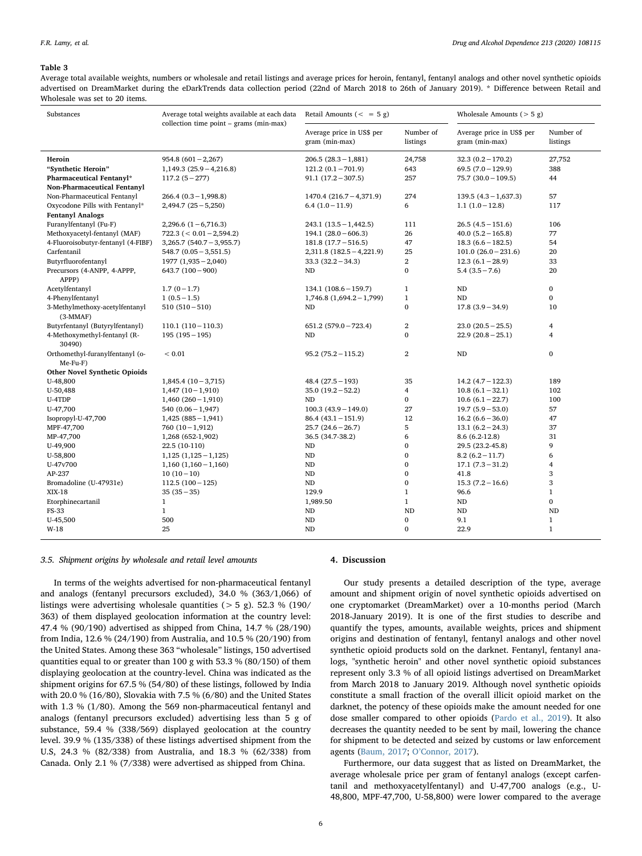#### <span id="page-5-0"></span>Table 3

Average total available weights, numbers or wholesale and retail listings and average prices for heroin, fentanyl, fentanyl analogs and other novel synthetic opioids advertised on DreamMarket during the eDarkTrends data collection period (22nd of March 2018 to 26th of January 2019). \* Difference between Retail and Wholesale was set to 20 items.

| Substances                                    | Average total weights available at each data<br>collection time point $-$ grams (min-max) | Retail Amounts $(= 5 g)$                    |                             | Wholesale Amounts $(> 5 g)$                 |                       |
|-----------------------------------------------|-------------------------------------------------------------------------------------------|---------------------------------------------|-----------------------------|---------------------------------------------|-----------------------|
|                                               |                                                                                           | Average price in US\$ per<br>gram (min-max) | Number of<br>listings       | Average price in US\$ per<br>gram (min-max) | Number of<br>listings |
| Heroin                                        | $954.8(601 - 2,267)$                                                                      | $206.5(28.3 - 1,881)$                       | 24,758                      | $32.3(0.2 - 170.2)$                         | 27,752                |
| "Synthetic Heroin"                            | $1,149.3(25.9-4,216.8)$                                                                   | $121.2(0.1 - 701.9)$                        | 643                         | $69.5(7.0-129.9)$                           | 388                   |
| Pharmaceutical Fentanyl*                      | $117.2(5 - 277)$                                                                          | $91.1(17.2 - 307.5)$                        | 257                         | $75.7(30.0-109.5)$                          | 44                    |
| Non-Pharmaceutical Fentanyl                   |                                                                                           |                                             |                             |                                             |                       |
| Non-Pharmaceutical Fentanyl                   | $266.4 (0.3 - 1,998.8)$                                                                   | $1470.4(216.7-4,371.9)$                     | 274                         | $139.5(4.3 - 1,637.3)$                      | 57                    |
| Oxycodone Pills with Fentanyl*                | $2,494.7$ $(25-5,250)$                                                                    | $6.4(1.0-11.9)$                             | 6                           | $1.1(1.0-12.8)$                             | 117                   |
| <b>Fentanyl Analogs</b>                       |                                                                                           |                                             |                             |                                             |                       |
| Furanylfentanyl (Fu-F)                        | $2,296.6$ $(1-6,716.3)$                                                                   | $243.1(13.5-1,442.5)$                       | 111                         | $26.5(4.5-151.6)$                           | 106                   |
| Methoxyacetyl-fentanyl (MAF)                  | $722.3 (< 0.01 - 2,594.2)$                                                                | $194.1 (28.0 - 606.3)$                      | 26                          | $40.0 (5.2 - 165.8)$                        | 77                    |
| 4-Fluoroisobutyr-fentanyl (4-FIBF)            | $3,265.7$ (540.7 - 3,955.7)                                                               | $181.8(17.7 - 516.5)$                       | 47                          | $18.3(6.6 - 182.5)$                         | 54                    |
| Carfentanil                                   | $548.7(0.05 - 3.551.5)$                                                                   | $2,311.8$ (182.5 - 4,221.9)                 | 25                          | $101.0 (26.0 - 231.6)$                      | 20                    |
| Butyrfluorofentanyl                           | $1977$ $(1,935 - 2,040)$                                                                  | $33.3(32.2 - 34.3)$                         | $\overline{2}$              | $12.3(6.1-28.9)$                            | 33                    |
| Precursors (4-ANPP, 4-APPP,                   | $643.7(100-900)$                                                                          | ND                                          | $\mathbf 0$                 | $5.4(3.5 - 7.6)$                            | 20                    |
| APPP)                                         |                                                                                           |                                             |                             |                                             |                       |
| Acetylfentanyl                                | $1.7(0-1.7)$                                                                              | $134.1(108.6 - 159.7)$                      | $\mathbf{1}$                | $\rm ND$                                    | $\bf{0}$              |
| 4-Phenylfentanyl                              | $1(0.5-1.5)$                                                                              | $1,746.8$ $(1,694.2-1,799)$                 | $\mathbf{1}$<br>$\mathbf 0$ | <b>ND</b>                                   | $\Omega$              |
| 3-Methylmethoxy-acetylfentanyl<br>$(3-MMAF)$  | $510(510-510)$                                                                            | ND                                          |                             | $17.8(3.9 - 34.9)$                          | 10                    |
| Butyrfentanyl (Butyrylfentanyl)               | $110.1 (110 - 110.3)$                                                                     | $651.2 (579.0 - 723.4)$                     | $\overline{2}$              | $23.0(20.5-25.5)$                           | $\overline{4}$        |
| 4-Methoxymethyl-fentanyl (R-<br>30490)        | $195(195-195)$                                                                            | ND                                          | $\mathbf 0$                 | $22.9(20.8-25.1)$                           | $\overline{4}$        |
| Orthomethyl-furanylfentanyl (o-<br>$Me-Fu-F)$ | ${}< 0.01$                                                                                | $95.2(75.2 - 115.2)$                        | $\overline{2}$              | <b>ND</b>                                   | $\bf{0}$              |
| <b>Other Novel Synthetic Opioids</b>          |                                                                                           |                                             |                             |                                             |                       |
| U-48,800                                      | $1,845.4(10-3,715)$                                                                       | $48.4(27.5-193)$                            | 35                          | $14.2(4.7 - 122.3)$                         | 189                   |
| U-50,488                                      | $1,447$ $(10-1,910)$                                                                      | $35.0(19.2 - 52.2)$                         | $\overline{4}$              | $10.8(6.1-32.1)$                            | 102                   |
| U-4TDP                                        | $1,460(260-1,910)$                                                                        | <b>ND</b>                                   | 0                           | $10.6(6.1-22.7)$                            | 100                   |
| U-47,700                                      | $540(0.06 - 1,947)$                                                                       | $100.3(43.9 - 149.0)$                       | 27                          | $19.7(5.9 - 53.0)$                          | 57                    |
| $Isopropyl-U-47,700$                          | $1,425(885-1,941)$                                                                        | $86.4(43.1 - 151.9)$                        | 12                          | $16.2(6.6 - 36.0)$                          | 47                    |
| MPF-47,700                                    | $760(10-1,912)$                                                                           | $25.7(24.6-26.7)$                           | 5                           | $13.1 (6.2 - 24.3)$                         | 37                    |
| MP-47,700                                     | 1,268 (652-1,902)                                                                         | 36.5 (34.7-38.2)                            | 6                           | $8.6(6.2-12.8)$                             | 31                    |
| U-49,900                                      | 22.5 (10-110)                                                                             | ND                                          | $\mathbf{0}$                | 29.5 (23.2-45.8)                            | 9                     |
| U-58,800                                      | $1,125$ $(1,125-1,125)$                                                                   | <b>ND</b>                                   | $\mathbf{0}$                | $8.2(6.2-11.7)$                             | 6                     |
| U-47v700                                      | $1,160$ $(1,160 - 1,160)$                                                                 | $\rm ND$                                    | $\bf{0}$                    | $17.1(7.3-31.2)$                            | $\overline{4}$        |
| AP-237                                        | $10(10-10)$                                                                               | <b>ND</b>                                   | $\mathbf{0}$                | 41.8                                        | 3                     |
| Bromadoline (U-47931e)                        | $112.5(100-125)$                                                                          | $\rm ND$                                    | $\mathbf 0$                 | $15.3(7.2 - 16.6)$                          | 3                     |
| XIX-18                                        | $35(35-35)$                                                                               | 129.9                                       | 1                           | 96.6                                        | $\mathbf{1}$          |
| Etorphinecartanil                             | $\mathbf{1}$                                                                              | 1,989.50                                    | $\mathbf{1}$                | ND                                          | $\bf{0}$              |
| FS-33                                         | $\mathbf{1}$                                                                              | ND                                          | <b>ND</b>                   | ND                                          | ND                    |
| U-45,500                                      | 500                                                                                       | ND                                          | 0                           | 9.1                                         | $\mathbf{1}$          |
| $W-18$                                        | 25                                                                                        | <b>ND</b>                                   | $\mathbf 0$                 | 22.9                                        | $\mathbf{1}$          |

## 3.5. Shipment origins by wholesale and retail level amounts

In terms of the weights advertised for non-pharmaceutical fentanyl and analogs (fentanyl precursors excluded), 34.0 % (363/1,066) of listings were advertising wholesale quantities ( $> 5$  g). 52.3 % (190/ 363) of them displayed geolocation information at the country level: 47.4 % (90/190) advertised as shipped from China, 14.7 % (28/190) from India, 12.6 % (24/190) from Australia, and 10.5 % (20/190) from the United States. Among these 363 "wholesale" listings, 150 advertised quantities equal to or greater than 100 g with 53.3 % (80/150) of them displaying geolocation at the country-level. China was indicated as the shipment origins for 67.5 % (54/80) of these listings, followed by India with 20.0 % (16/80), Slovakia with 7.5 % (6/80) and the United States with 1.3 % (1/80). Among the 569 non-pharmaceutical fentanyl and analogs (fentanyl precursors excluded) advertising less than 5 g of substance, 59.4 % (338/569) displayed geolocation at the country level. 39.9 % (135/338) of these listings advertised shipment from the U.S, 24.3 % (82/338) from Australia, and 18.3 % (62/338) from Canada. Only 2.1 % (7/338) were advertised as shipped from China.

## 4. Discussion

Our study presents a detailed description of the type, average amount and shipment origin of novel synthetic opioids advertised on one cryptomarket (DreamMarket) over a 10-months period (March 2018-January 2019). It is one of the first studies to describe and quantify the types, amounts, available weights, prices and shipment origins and destination of fentanyl, fentanyl analogs and other novel synthetic opioid products sold on the darknet. Fentanyl, fentanyl analogs, "synthetic heroin" and other novel synthetic opioid substances represent only 3.3 % of all opioid listings advertised on DreamMarket from March 2018 to January 2019. Although novel synthetic opioids constitute a small fraction of the overall illicit opioid market on the darknet, the potency of these opioids make the amount needed for one dose smaller compared to other opioids [\(Pardo et al., 2019\)](#page-7-13). It also decreases the quantity needed to be sent by mail, lowering the chance for shipment to be detected and seized by customs or law enforcement agents ([Baum, 2017;](#page-7-45) O'[Connor, 2017](#page-7-46)).

Furthermore, our data suggest that as listed on DreamMarket, the average wholesale price per gram of fentanyl analogs (except carfentanil and methoxyacetylfentanyl) and U-47,700 analogs (e.g., U-48,800, MPF-47,700, U-58,800) were lower compared to the average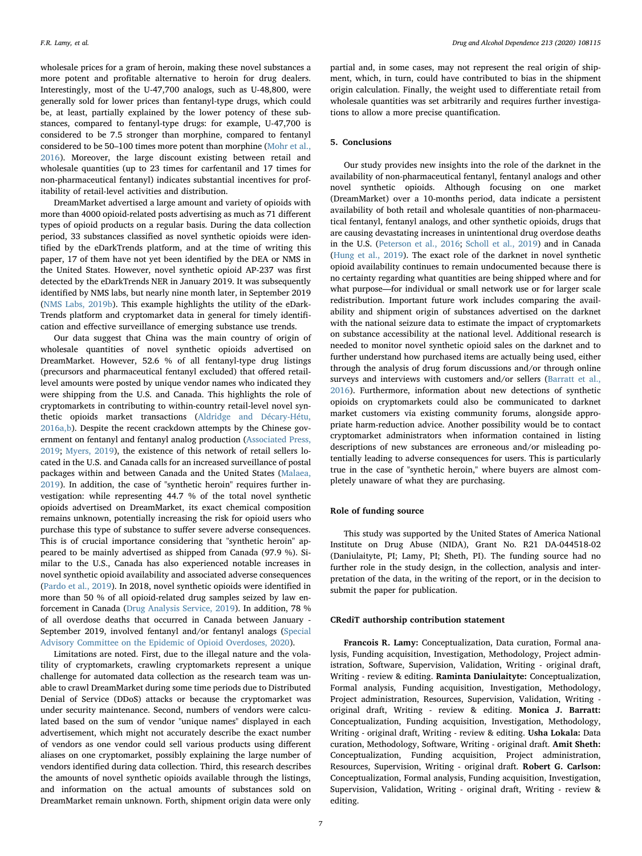wholesale prices for a gram of heroin, making these novel substances a more potent and profitable alternative to heroin for drug dealers. Interestingly, most of the U-47,700 analogs, such as U-48,800, were generally sold for lower prices than fentanyl-type drugs, which could be, at least, partially explained by the lower potency of these substances, compared to fentanyl-type drugs: for example, U-47,700 is considered to be 7.5 stronger than morphine, compared to fentanyl considered to be 50–100 times more potent than morphine [\(Mohr et al.,](#page-7-47) [2016\)](#page-7-47). Moreover, the large discount existing between retail and wholesale quantities (up to 23 times for carfentanil and 17 times for non-pharmaceutical fentanyl) indicates substantial incentives for profitability of retail-level activities and distribution.

DreamMarket advertised a large amount and variety of opioids with more than 4000 opioid-related posts advertising as much as 71 different types of opioid products on a regular basis. During the data collection period, 33 substances classified as novel synthetic opioids were identified by the eDarkTrends platform, and at the time of writing this paper, 17 of them have not yet been identified by the DEA or NMS in the United States. However, novel synthetic opioid AP-237 was first detected by the eDarkTrends NER in January 2019. It was subsequently identified by NMS labs, but nearly nine month later, in September 2019 ([NMS Labs, 2019b](#page-7-44)). This example highlights the utility of the eDark-Trends platform and cryptomarket data in general for timely identification and effective surveillance of emerging substance use trends.

Our data suggest that China was the main country of origin of wholesale quantities of novel synthetic opioids advertised on DreamMarket. However, 52.6 % of all fentanyl-type drug listings (precursors and pharmaceutical fentanyl excluded) that offered retaillevel amounts were posted by unique vendor names who indicated they were shipping from the U.S. and Canada. This highlights the role of cryptomarkets in contributing to within-country retail-level novel synthetic opioids market transactions ([Aldridge and Décary-Hétu,](#page-7-24) [2016a,b](#page-7-24)). Despite the recent crackdown attempts by the Chinese government on fentanyl and fentanyl analog production ([Associated Press,](#page-7-48) [2019;](#page-7-48) [Myers, 2019\)](#page-7-49), the existence of this network of retail sellers located in the U.S. and Canada calls for an increased surveillance of postal packages within and between Canada and the United States ([Malaea,](#page-7-50) [2019\)](#page-7-50). In addition, the case of "synthetic heroin" requires further investigation: while representing 44.7 % of the total novel synthetic opioids advertised on DreamMarket, its exact chemical composition remains unknown, potentially increasing the risk for opioid users who purchase this type of substance to suffer severe adverse consequences. This is of crucial importance considering that "synthetic heroin" appeared to be mainly advertised as shipped from Canada (97.9 %). Similar to the U.S., Canada has also experienced notable increases in novel synthetic opioid availability and associated adverse consequences ([Pardo et al., 2019](#page-7-13)). In 2018, novel synthetic opioids were identified in more than 50 % of all opioid-related drug samples seized by law enforcement in Canada [\(Drug Analysis Service, 2019\)](#page-7-51). In addition, 78 % of all overdose deaths that occurred in Canada between January - September 2019, involved fentanyl and/or fentanyl analogs ([Special](#page-7-52) [Advisory Committee on the Epidemic of Opioid Overdoses, 2020\)](#page-7-52).

Limitations are noted. First, due to the illegal nature and the volatility of cryptomarkets, crawling cryptomarkets represent a unique challenge for automated data collection as the research team was unable to crawl DreamMarket during some time periods due to Distributed Denial of Service (DDoS) attacks or because the cryptomarket was under security maintenance. Second, numbers of vendors were calculated based on the sum of vendor "unique names" displayed in each advertisement, which might not accurately describe the exact number of vendors as one vendor could sell various products using different aliases on one cryptomarket, possibly explaining the large number of vendors identified during data collection. Third, this research describes the amounts of novel synthetic opioids available through the listings, and information on the actual amounts of substances sold on DreamMarket remain unknown. Forth, shipment origin data were only

partial and, in some cases, may not represent the real origin of shipment, which, in turn, could have contributed to bias in the shipment origin calculation. Finally, the weight used to differentiate retail from wholesale quantities was set arbitrarily and requires further investigations to allow a more precise quantification.

## 5. Conclusions

Our study provides new insights into the role of the darknet in the availability of non-pharmaceutical fentanyl, fentanyl analogs and other novel synthetic opioids. Although focusing on one market (DreamMarket) over a 10-months period, data indicate a persistent availability of both retail and wholesale quantities of non-pharmaceutical fentanyl, fentanyl analogs, and other synthetic opioids, drugs that are causing devastating increases in unintentional drug overdose deaths in the U.S. ([Peterson et al., 2016;](#page-7-53) [Scholl et al., 2019\)](#page-7-54) and in Canada ([Hung et al., 2019](#page-7-55)). The exact role of the darknet in novel synthetic opioid availability continues to remain undocumented because there is no certainty regarding what quantities are being shipped where and for what purpose—for individual or small network use or for larger scale redistribution. Important future work includes comparing the availability and shipment origin of substances advertised on the darknet with the national seizure data to estimate the impact of cryptomarkets on substance accessibility at the national level. Additional research is needed to monitor novel synthetic opioid sales on the darknet and to further understand how purchased items are actually being used, either through the analysis of drug forum discussions and/or through online surveys and interviews with customers and/or sellers [\(Barratt et al.,](#page-7-56) [2016\)](#page-7-56). Furthermore, information about new detections of synthetic opioids on cryptomarkets could also be communicated to darknet market customers via existing community forums, alongside appropriate harm-reduction advice. Another possibility would be to contact cryptomarket administrators when information contained in listing descriptions of new substances are erroneous and/or misleading potentially leading to adverse consequences for users. This is particularly true in the case of "synthetic heroin," where buyers are almost completely unaware of what they are purchasing.

#### Role of funding source

This study was supported by the United States of America National Institute on Drug Abuse (NIDA), Grant No. R21 DA-044518-02 (Daniulaityte, PI; Lamy, PI; Sheth, PI). The funding source had no further role in the study design, in the collection, analysis and interpretation of the data, in the writing of the report, or in the decision to submit the paper for publication.

#### CRediT authorship contribution statement

Francois R. Lamy: Conceptualization, Data curation, Formal analysis, Funding acquisition, Investigation, Methodology, Project administration, Software, Supervision, Validation, Writing - original draft, Writing - review & editing. Raminta Daniulaityte: Conceptualization, Formal analysis, Funding acquisition, Investigation, Methodology, Project administration, Resources, Supervision, Validation, Writing original draft, Writing - review & editing. Monica J. Barratt: Conceptualization, Funding acquisition, Investigation, Methodology, Writing - original draft, Writing - review & editing. Usha Lokala: Data curation, Methodology, Software, Writing - original draft. Amit Sheth: Conceptualization, Funding acquisition, Project administration, Resources, Supervision, Writing - original draft. Robert G. Carlson: Conceptualization, Formal analysis, Funding acquisition, Investigation, Supervision, Validation, Writing - original draft, Writing - review & editing.